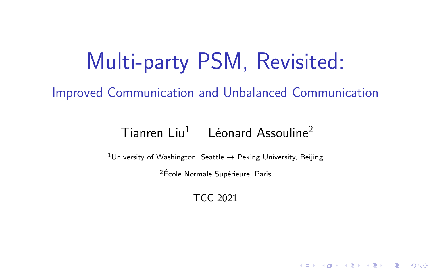# Multi-party PSM, Revisited:

Improved Communication and Unbalanced Communication

### $Ti$ anren Liu<sup>1</sup> Léonard Assouline<sup>2</sup>

<sup>1</sup>University of Washington, Seattle  $\rightarrow$  Peking University, Beijing

 $2$ École Normale Supérieure, Paris

TCC 2021

メロト メタト メミト メミト 一番

 $2990$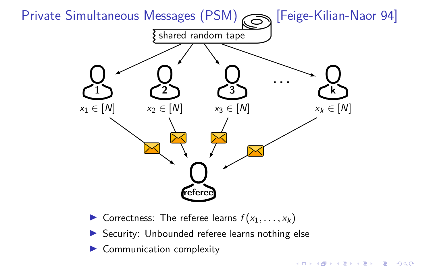

- **I** Correctness: The referee learns  $f(x_1, \ldots, x_k)$
- $\triangleright$  Security: Unbounded referee learns nothing else
- Communication complexity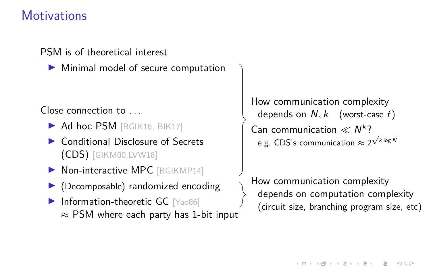### **Motivations**

PSM is of theoretical interest

Minimal model of secure computation

#### Close connection to . . .

- Ad-hoc PSM [BGIK16, BIK17]
- Conditional Disclosure of Secrets (CDS) [GIKM00,LVW18]
- $\blacktriangleright$  Non-interactive MPC [BGIKMP14]
- (Decomposable) randomized encoding
- Information-theoretic GC [Yao86]  $\approx$  PSM where each party has 1-bit input

How communication complexity depends on  $N, k$  (worst-case  $f$ ) Can communication  $\ll N^k$ ? e.g. CDS's communication  $\approx$  2 √ k log N

How communication complexity depends on computation complexity (circuit size, branching program size, etc)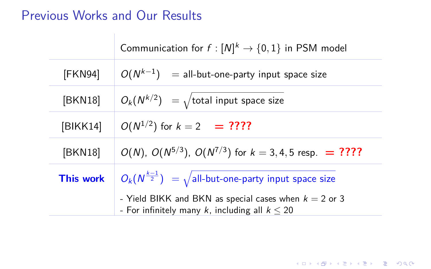### Previous Works and Our Results  $\sim$  1

|                  | Communication for $f: [N]^k \rightarrow \{0,1\}$ in PSM model                                                |
|------------------|--------------------------------------------------------------------------------------------------------------|
| [FKN94]          | $O(N^{k-1})$ = all-but-one-party input space size                                                            |
| [BKN18]          | $O_k(N^{k/2}) = \sqrt{\text{total input space size}}$                                                        |
| [BIKK14]         | $O(N^{1/2})$ for $k = 2$ = ????                                                                              |
| [BKN18]          | $O(N)$ , $O(N^{5/3})$ , $O(N^{7/3})$ for $k = 3, 4, 5$ resp. = ????                                          |
| <b>This work</b> | $O_k(N^{\frac{k-1}{2}}) = \sqrt{\text{all-bit-one-party input space size}}$                                  |
|                  | - Yield BIKK and BKN as special cases when $k = 2$ or 3<br>- For infinitely many k, including all $k \le 20$ |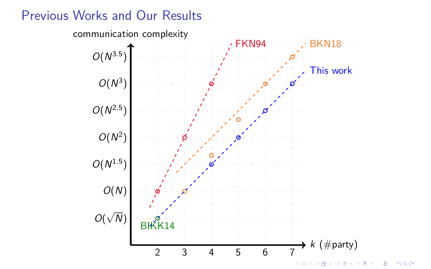### Previous Works and Our Results

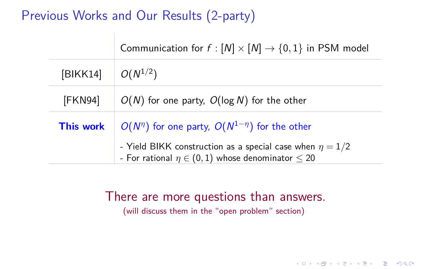### Previous Works and Our Results (2-party)

|           | Communication for $f : [N] \times [N] \rightarrow \{0,1\}$ in PSM model                                                      |
|-----------|------------------------------------------------------------------------------------------------------------------------------|
| [BIKK14]  | $O(N^{1/2})$                                                                                                                 |
| [FKN94]   | $O(N)$ for one party, $O(\log N)$ for the other                                                                              |
| This work | $O(N^{\eta})$ for one party, $O(N^{1-\eta})$ for the other                                                                   |
|           | - Yield BIKK construction as a special case when $\eta = 1/2$<br>- For rational $\eta \in (0,1)$ whose denominator $\leq 20$ |

#### There are more questions than answers.

(will discuss them in the "open problem" section)

**KORKARRA ERKER SAGA**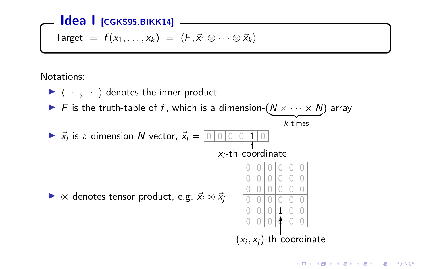#### **Idea | [CGKS95,BIKK14]** -

$$
\text{Target} = f(x_1, \ldots, x_k) = \langle F, \vec{x}_1 \otimes \cdots \otimes \vec{x}_k \rangle
$$

Notations:

 $\blacktriangleright$   $\langle \cdot, \cdot \rangle$  denotes the inner product F is the truth-table of f, which is a dimension- $(N \times \cdots \times N)$  array  $k$  times  $\blacktriangleright$   $\vec{x_i}$  is a dimension-N vector,  $\vec{x_i} = \boxed{0 \mid 0 \mid 0 \mid 1 \mid 0}$  $x_i$ -th coordinate  $\triangleright$  ⊗ denotes tensor product, e.g.  $\vec{x}_i \otimes \vec{x}_j =$ 0 0 0 0 0 0 0 0 0 0 0 0 0 0 0 0 0 0 0 0 0 0 0  $0 0 0 1 0 0$  $0 0 0 0 0 0 0$  $(x_i, x_j)$ -th coordinate

**KOX KAX KEX KEX E YORA**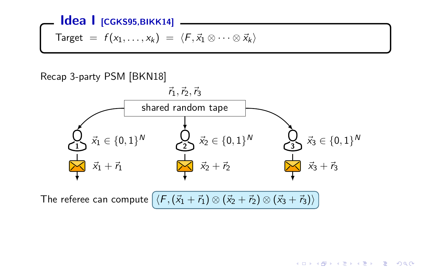## **Idea I [CGKS95,BIKK14]** Target =  $f(x_1, \ldots, x_k) = \langle F, \vec{x}_1 \otimes \cdots \otimes \vec{x}_k \rangle$

#### Recap 3-party PSM [BKN18]



**KORK EXKEY E MARK** 

The referee can compute  $\langle F, (\vec{x}_1 + \vec{r}_1) \otimes (\vec{x}_2 + \vec{r}_2) \otimes (\vec{x}_3 + \vec{r}_3) \rangle$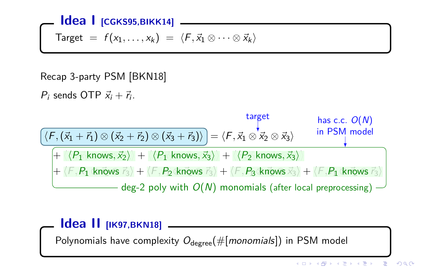#### **Idea I [CGKS95,BIKK14]**

$$
\text{Target} = f(x_1, \ldots, x_k) = \langle F, \vec{x}_1 \otimes \cdots \otimes \vec{x}_k \rangle
$$

#### Recap 3-party PSM [BKN18]

 $P_i$  sends OTP  $\vec{x}_i + \vec{r}_i$ .



#### **Idea II [IK97,BKN18]**

Polynomials have complexity  $O_{\text{degree}}(\#[monomials])$  in PSM model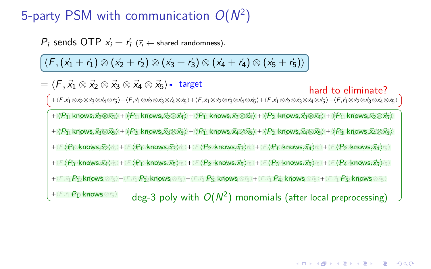### 5-party PSM with communication  $O(N^2)$

*P*<sub>i</sub> sends OTP  $\vec{x}_i + \vec{r}_i$  ( $\vec{r}_i \leftarrow$  shared randomness).

 $\langle F, (\vec{x}_1 + \vec{r}_1) \otimes (\vec{x}_2 + \vec{r}_2) \otimes (\vec{x}_3 + \vec{r}_3) \otimes (\vec{x}_4 + \vec{r}_4) \otimes (\vec{x}_5 + \vec{r}_5) \rangle$ 

 $=\langle F,\vec{x}_1\otimes\vec{x}_2\otimes\vec{x}_3\otimes\vec{x}_4\otimes\vec{x}_5\rangle$ —target

hard to eliminate?

+{F,x]@x2@x3@x4@75}+{F,x]@x2@x3@74@x5}+{F,x]@x2@73@x4@x5}+{F,x]@72@x3@x4@x5}+{F,7]@x2@x3@x4@x5}

 $+\bra{P_1}$  knows, $\vec{x}_2\otimes\vec{x}_3\rangle+\bra{P_1}$  knows, $\vec{x}_2\otimes\vec{x}_4\rangle+\bra{P_1}$  knows, $\vec{x}_3\otimes\vec{x}_4\rangle+\bra{P_2}$  knows, $\vec{x}_3\otimes\vec{x}_4\rangle+\bra{P_1}$  knows, $\vec{x}_2\otimes\vec{x}_5\rangle$ 

 $+\langle P_1\vert$  knows, $\vec{x_3}\otimes\vec{x_5}\rangle+\langle P_2\vert$  knows, $\vec{x_3}\otimes\vec{x_5}\rangle+\langle P_1\vert$  knows, $\vec{x_4}\otimes\vec{x_5}\rangle+\langle P_2\vert$  knows, $\vec{x_4}\otimes\vec{x_5}\rangle+\langle P_3\vert$  knows, $\vec{x_4}\otimes\vec{x_5}\rangle$ 

 $+\langle\digamma\langle P_{\Gamma}\text{ knows},\vec{x_2}\rangle_{\top_{5}}\rangle+\langle\digamma\langle P_{\Gamma}\text{ knows},\vec{x_3}\rangle_{\top_{5}}\rangle+\langle\digamma\langle P_{2}\text{ knows},\vec{x_3}\rangle_{\top_{5}}\rangle+\langle\digamma\langle P_{\Gamma}\text{ knows},\vec{x_4}\rangle_{\top_{5}}\rangle+\langle\digamma\langle P_{2}\text{ knows},\vec{x_4}\rangle_{\top_{5}}\rangle$ 

 $+\langle \digamma\langle P_3\log_5\tilde{x_4}\rangle_{\mathbb{F}_2}\rangle+\langle \digamma\langle P_1\log_5\tilde{x_5}\rangle_{\mathbb{F}_2}\rangle+\langle \digamma\langle P_2\log_5\tilde{x_5}\rangle_{\mathbb{F}_2}\rangle+\langle \digamma\langle P_3\log_5\tilde{x_5}\rangle_{\mathbb{F}_2}\rangle+\langle \digamma\langle P_4\log_5\tilde{x_5}\rangle_{\mathbb{F}_2}\rangle$ 

 $+(\digamma \bar{x_1} P_{\bar{12}} \text{knows} \otimes \tau_5)+(\digamma \bar{x_1} P_{\bar{22}} \text{knows} \otimes \tau_5)+(\digamma \bar{x_1} P_{\bar{22}} \text{knows} \otimes \tau_5)+(\digamma \bar{x_1} P_{\bar{42}} \text{knows} \otimes \tau_5)+(\digamma \bar{x_1} P_{\bar{52}} \text{knows} \otimes \bar{x_5})$ 

 $^{+\langle E,\vec r_1B_{12}^2$ knows ⊗ $\vec r_5\rangle$  \_\_ deg-3 poly with  $O(N^2)$  monomials (after local preprocessing)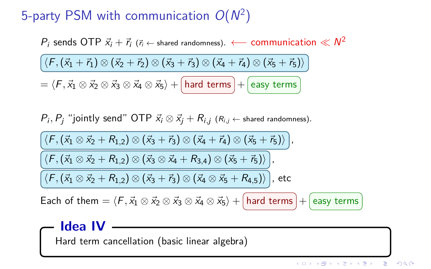### 5-party PSM with communication  $O(N^2)$

 $P_i$  sends OTP  $\vec{x}_i + \vec{r}_i$  ( $\vec{r}_i \leftarrow$  shared randomness).  $\longleftarrow$  communication  $\ll N^2$ 

$$
\langle F, (\vec{x}_1 + \vec{r}_1) \otimes (\vec{x}_2 + \vec{r}_2) \otimes (\vec{x}_3 + \vec{r}_3) \otimes (\vec{x}_4 + \vec{r}_4) \otimes (\vec{x}_5 + \vec{r}_5) \rangle
$$

 $\vec{p} = \langle F, \vec{x}_1 \otimes \vec{x}_2 \otimes \vec{x}_3 \otimes \vec{x}_4 \otimes \vec{x}_5 \rangle + \boxed{\text{hard terms}} + \boxed{\text{easy terms}}$ 

$$
P_i, P_j
$$
 "jointly send" OTP  $\vec{x}_i \otimes \vec{x}_j + R_{i,j}$  ( $R_{i,j} \leftarrow$  shared randomness).

$$
\frac{\left\langle \left\langle \mathsf{F},\left( \vec{\mathsf{x}}_1 \otimes \vec{\mathsf{x}}_2+\mathsf{R}_{1,2} \right)\otimes \left( \vec{\mathsf{x}}_3+\vec{\mathsf{r}}_3 \right)\otimes \left( \vec{\mathsf{x}}_4+\vec{\mathsf{r}}_4 \right)\otimes \left( \vec{\mathsf{x}}_5+\vec{\mathsf{r}}_5 \right) \right\rangle \right),}{\left\langle \left\langle \mathsf{F},\left( \vec{\mathsf{x}}_1 \otimes \vec{\mathsf{x}}_2+\mathsf{R}_{1,2} \right)\otimes \left( \vec{\mathsf{x}}_3 \otimes \vec{\mathsf{x}}_4+\mathsf{R}_{3,4} \right)\otimes \left( \vec{\mathsf{x}}_5+\vec{\mathsf{r}}_5 \right) \right\rangle \right\rangle }, \\\overline{\left\langle \left\langle \mathsf{F},\left( \vec{\mathsf{x}}_1 \otimes \vec{\mathsf{x}}_2+\mathsf{R}_{1,2} \right)\otimes \left( \vec{\mathsf{x}}_3+\vec{\mathsf{r}}_3 \right)\otimes \left( \vec{\mathsf{x}}_4 \otimes \vec{\mathsf{x}}_5+\mathsf{R}_{4,5} \right) \right\rangle \right\rangle }.
$$
 etc.

Each of them  $= \langle F,\vec{x}_1 \otimes \vec{x}_2 \otimes \vec{x}_3 \otimes \vec{x}_4 \otimes \vec{x}_5 \rangle + \text{[hard terms]} + \text{[easy terms]}$ 

#### **Idea IV**

Hard term cancellation (basic linear algebra)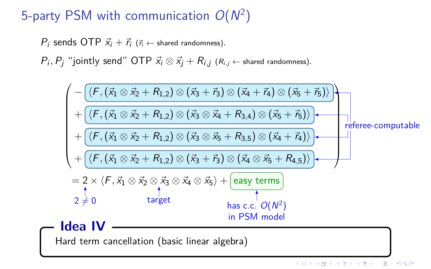### 5-party PSM with communication  $O(N^2)$

*P*<sub>i</sub> sends OTP  $\vec{x}_i + \vec{r}_i$  ( $\vec{r}_i \leftarrow$  shared randomness).

 $P_i, P_j$  "jointly send" OTP  $\vec{x_i} \otimes \vec{x_j} + R_{i,j}$  ( $R_{i,j} \leftarrow$  shared randomness).

$$
\left(\begin{array}{c|c} -\overline{\langle F, (\vec{x}_1 \otimes \vec{x}_2 + R_{1,2}) \otimes (\vec{x}_3 + \vec{r}_3) \otimes (\vec{x}_4 + \vec{r}_4) \otimes (\vec{x}_5 + \vec{r}_5) \rangle} \\ + \overline{\langle F, (\vec{x}_1 \otimes \vec{x}_2 + R_{1,2}) \otimes (\vec{x}_3 \otimes \vec{x}_4 + R_{3,4}) \otimes (\vec{x}_5 + \vec{r}_5) \rangle} \\ + \overline{\langle F, (\vec{x}_1 \otimes \vec{x}_2 + R_{1,2}) \otimes (\vec{x}_3 \otimes \vec{x}_5 + R_{3,5}) \otimes (\vec{x}_4 + \vec{r}_4) \rangle} \\ + \overline{\langle F, (\vec{x}_1 \otimes \vec{x}_2 + R_{1,2}) \otimes (\vec{x}_3 + \vec{r}_3) \otimes (\vec{x}_4 \otimes \vec{x}_5 + R_{4,5}) \rangle} \\ = 2 \times \langle F, \vec{x}_1 \otimes \vec{x}_2 \otimes \vec{x}_3 \otimes \vec{x}_4 \otimes \vec{x}_5 \rangle + \overline{\text{easy terms}} \\ 2 \neq 0 & \text{target} & \text{has c.c. } O(N^2) & \text{in PSM model} \\ \end{array}\right)
$$
\n**Idea IV**\n
$$
\begin{array}{c|c|c} \n\hline\n\end{array}
$$
\n**1.2.1**\n**1.3.2**\n
$$
\begin{array}{c|c|c} \n\hline\n\end{array}
$$
\n**1.4.3**\n
$$
\begin{array}{c|c|c} \n\hline\n\end{array}
$$
\n**1.5.3**\n
$$
\begin{array}{c|c} \n\hline\n\end{array}
$$
\n**1.5.3**\n
$$
\begin{array}{c|c} \n\hline\n\end{array}
$$
\n
$$
\begin{array}{c|c} \n\hline\n\end{array}
$$
\n
$$
\n\hline\n\end{array}
$$
\n**1.6**\n
$$
\begin{array}{c|c} \n\hline\n\end{array}
$$
\n**1.6**\n
$$
\begin{array}{c|c} \n\hline\n\end{array}
$$
\n
$$
\n\hline\n\end{array}
$$
\n<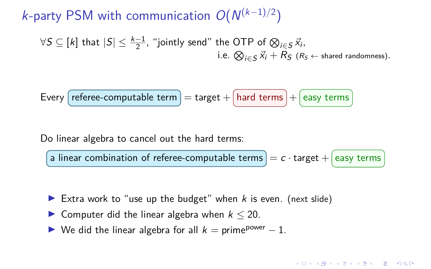k-party PSM with communication  $O(N^{(k-1)/2})$ 

$$
\forall S \subseteq [k] \text{ that } |S| \leq \frac{k-1}{2}, \text{ "jointly send" the OTP of } \bigotimes_{i \in S} \vec{x}_i,
$$
  
i.e. 
$$
\bigotimes_{i \in S} \vec{x}_i + R_S \text{ (}R_S \leftarrow \text{shared randomness)}\text{.}
$$

Every 
$$
[reference-computable term] = target + [hard terms] + [easy terms]
$$

Do linear algebra to cancel out the hard terms:

a linear combination of referee-computable terms  $= c \cdot \text{target} + \epsilon$ 

- Extra work to "use up the budget" when  $k$  is even. (next slide)
- Computer did the linear algebra when  $k \leq 20$ .
- $\triangleright$  We did the linear algebra for all  $k =$  prime<sup>power</sup> 1.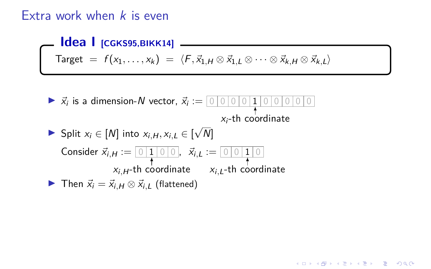### Extra work when  $k$  is even

**Idea | [CGKS95,BIKK14]**  $\text{Target} = f(x_1, \ldots, x_k) = \langle F, \vec{x}_{1,H} \otimes \vec{x}_{1,L} \otimes \cdots \otimes \vec{x}_{k,H} \otimes \vec{x}_{k,L} \rangle$ I *~*x<sup>i</sup> is a dimension-N vector, *~*x<sup>i</sup> := 0 0 0 0 1 0 0 0 0 0  $x_i$ -th coordinate Split  $x_i \in [N]$  into  $x_{i,H}, x_{i,L} \in [N]$ N]  $\textsf{Consider}~\vec{x}_{i,H} := \textcolor{red}{\textcolor{blue}{\mathcal{O}}}\textcolor{blue}{\textbf{|}1 \textcolor{blue}{\mid}0 \textcolor{blue}{\mid}0}$ xi*,*H-th coordinate ,  $\vec{x}_{i,L} := \boxed{0 \mid 0 \mid 1 \mid 0}$ xi*,*L-th coordinate  $\triangleright$  Then  $\vec{x}_i = \vec{x}_{i,H} \otimes \vec{x}_{i,L}$  (flattened)

#### **KORK EXKEY E MARK**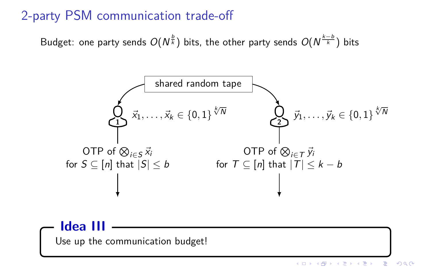### 2-party PSM communication trade-off

Budget: one party sends  $O(N^{\frac{b}{k}})$  bits, the other party sends  $O(N^{\frac{k-b}{k}})$  bits



#### **Idea III**

Use up the communication budget!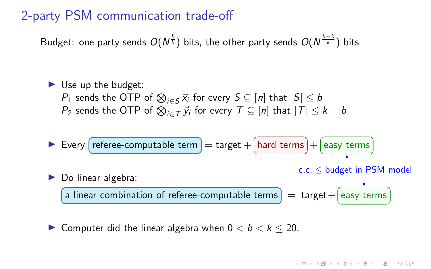### 2-party PSM communication trade-off

Budget: one party sends  $O(N^{\frac{b}{k}})$  bits, the other party sends  $O(N^{\frac{k-b}{k}})$  bits

\n- Use up the budget:
\n- $$
P_1
$$
 sends the OTP of  $\bigotimes_{i \in S} \vec{x}_i$  for every  $S \subseteq [n]$  that  $|S| \leq b$
\n- $P_2$  sends the OTP of  $\bigotimes_{i \in T} \vec{y}_i$  for every  $T \subseteq [n]$  that  $|T| \leq k - b$
\n

I Every referee-computable term = target + hard terms + easy terms I Do linear algebra: a linear combination of referee-computable terms = target+ easy terms c.c. ≤ budget in PSM model

**If** Computer did the linear algebra when  $0 < b < k < 20$ .